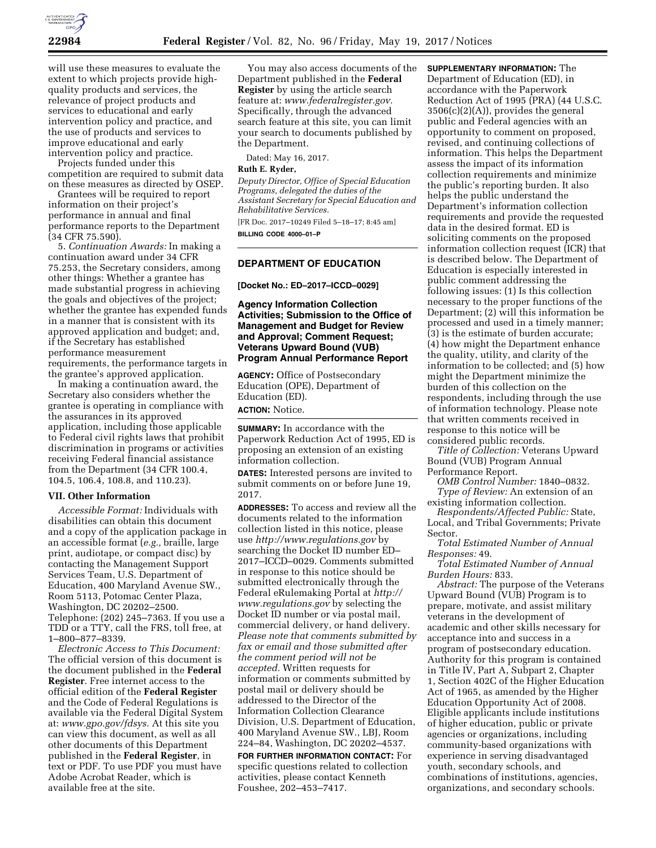

will use these measures to evaluate the extent to which projects provide highquality products and services, the relevance of project products and services to educational and early intervention policy and practice, and the use of products and services to improve educational and early intervention policy and practice.

Projects funded under this competition are required to submit data on these measures as directed by OSEP.

Grantees will be required to report information on their project's performance in annual and final performance reports to the Department (34 CFR 75.590).

5. *Continuation Awards:* In making a continuation award under 34 CFR 75.253, the Secretary considers, among other things: Whether a grantee has made substantial progress in achieving the goals and objectives of the project; whether the grantee has expended funds in a manner that is consistent with its approved application and budget; and, if the Secretary has established performance measurement requirements, the performance targets in the grantee's approved application.

In making a continuation award, the Secretary also considers whether the grantee is operating in compliance with the assurances in its approved application, including those applicable to Federal civil rights laws that prohibit discrimination in programs or activities receiving Federal financial assistance from the Department (34 CFR 100.4, 104.5, 106.4, 108.8, and 110.23).

#### **VII. Other Information**

*Accessible Format:* Individuals with disabilities can obtain this document and a copy of the application package in an accessible format (*e.g.,* braille, large print, audiotape, or compact disc) by contacting the Management Support Services Team, U.S. Department of Education, 400 Maryland Avenue SW., Room 5113, Potomac Center Plaza, Washington, DC 20202–2500. Telephone: (202) 245–7363. If you use a TDD or a TTY, call the FRS, toll free, at 1–800–877–8339.

*Electronic Access to This Document:*  The official version of this document is the document published in the **Federal Register**. Free internet access to the official edition of the **Federal Register**  and the Code of Federal Regulations is available via the Federal Digital System at: *[www.gpo.gov/fdsys.](http://www.gpo.gov/fdsys)* At this site you can view this document, as well as all other documents of this Department published in the **Federal Register**, in text or PDF. To use PDF you must have Adobe Acrobat Reader, which is available free at the site.

You may also access documents of the Department published in the **Federal Register** by using the article search feature at: *[www.federalregister.gov.](http://www.federalregister.gov)*  Specifically, through the advanced search feature at this site, you can limit your search to documents published by the Department.

Dated: May 16, 2017.

#### **Ruth E. Ryder,**

*Deputy Director, Office of Special Education Programs, delegated the duties of the Assistant Secretary for Special Education and Rehabilitative Services.* 

[FR Doc. 2017–10249 Filed 5–18–17; 8:45 am] **BILLING CODE 4000–01–P** 

# **DEPARTMENT OF EDUCATION**

**[Docket No.: ED–2017–ICCD–0029]** 

**Agency Information Collection Activities; Submission to the Office of Management and Budget for Review and Approval; Comment Request; Veterans Upward Bound (VUB) Program Annual Performance Report** 

**AGENCY:** Office of Postsecondary Education (OPE), Department of Education (ED).

**ACTION:** Notice.

**SUMMARY:** In accordance with the Paperwork Reduction Act of 1995, ED is proposing an extension of an existing information collection.

**DATES:** Interested persons are invited to submit comments on or before June 19, 2017.

**ADDRESSES:** To access and review all the documents related to the information collection listed in this notice, please use *<http://www.regulations.gov>*by searching the Docket ID number ED– 2017–ICCD–0029. Comments submitted in response to this notice should be submitted electronically through the Federal eRulemaking Portal at *[http://](http://www.regulations.gov) [www.regulations.gov](http://www.regulations.gov)* by selecting the Docket ID number or via postal mail, commercial delivery, or hand delivery. *Please note that comments submitted by fax or email and those submitted after the comment period will not be accepted.* Written requests for information or comments submitted by postal mail or delivery should be addressed to the Director of the Information Collection Clearance Division, U.S. Department of Education, 400 Maryland Avenue SW., LBJ, Room 224–84, Washington, DC 20202–4537.

**FOR FURTHER INFORMATION CONTACT:** For specific questions related to collection activities, please contact Kenneth Foushee, 202–453–7417.

**SUPPLEMENTARY INFORMATION:** The Department of Education (ED), in accordance with the Paperwork Reduction Act of 1995 (PRA) (44 U.S.C. 3506(c)(2)(A)), provides the general public and Federal agencies with an opportunity to comment on proposed, revised, and continuing collections of information. This helps the Department assess the impact of its information collection requirements and minimize the public's reporting burden. It also helps the public understand the Department's information collection requirements and provide the requested data in the desired format. ED is soliciting comments on the proposed information collection request (ICR) that is described below. The Department of Education is especially interested in public comment addressing the following issues: (1) Is this collection necessary to the proper functions of the Department; (2) will this information be processed and used in a timely manner; (3) is the estimate of burden accurate; (4) how might the Department enhance the quality, utility, and clarity of the information to be collected; and (5) how might the Department minimize the burden of this collection on the respondents, including through the use of information technology. Please note that written comments received in response to this notice will be considered public records.

*Title of Collection:* Veterans Upward Bound (VUB) Program Annual Performance Report.

*OMB Control Number:* 1840–0832. *Type of Review:* An extension of an

existing information collection. *Respondents/Affected Public:* State,

Local, and Tribal Governments; Private Sector.

*Total Estimated Number of Annual Responses:* 49.

*Total Estimated Number of Annual Burden Hours:* 833.

*Abstract:* The purpose of the Veterans Upward Bound (VUB) Program is to prepare, motivate, and assist military veterans in the development of academic and other skills necessary for acceptance into and success in a program of postsecondary education. Authority for this program is contained in Title IV, Part A, Subpart 2, Chapter 1, Section 402C of the Higher Education Act of 1965, as amended by the Higher Education Opportunity Act of 2008. Eligible applicants include institutions of higher education, public or private agencies or organizations, including community-based organizations with experience in serving disadvantaged youth, secondary schools, and combinations of institutions, agencies, organizations, and secondary schools.